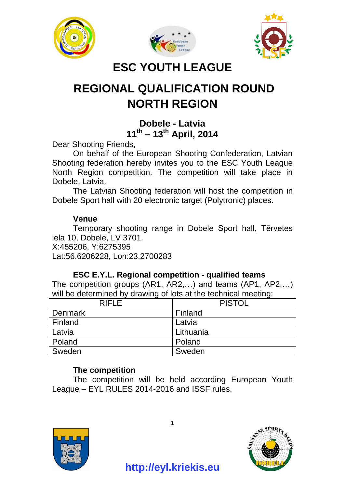





## **ESC YOUTH LEAGUE**

# **REGIONAL QUALIFICATION ROUND NORTH REGION**

## **Dobele - Latvia 11th – 13th April, 2014**

Dear Shooting Friends,

On behalf of the European Shooting Confederation, Latvian Shooting federation hereby invites you to the ESC Youth League North Region competition. The competition will take place in Dobele, Latvia.

The Latvian Shooting federation will host the competition in Dobele Sport hall with 20 electronic target (Polytronic) places.

#### **Venue**

Temporary shooting range in Dobele Sport hall, Tērvetes iela 10, Dobele, LV 3701.

X:455206, Y:6275395

Lat:56.6206228, Lon:23.2700283

#### **ESC E.Y.L. Regional competition - qualified teams**

The competition groups (AR1, AR2,…) and teams (AP1, AP2,…) will be determined by drawing of lots at the technical meeting:

| <b>RIFLE</b> | <b>PISTOL</b> |
|--------------|---------------|
| Denmark      | Finland       |
| Finland      | Latvia        |
| Latvia       | Lithuania     |
| Poland       | Poland        |
| Sweden       | Sweden        |

## **The competition**

The competition will be held according European Youth League – EYL RULES 2014-2016 and ISSF rules.



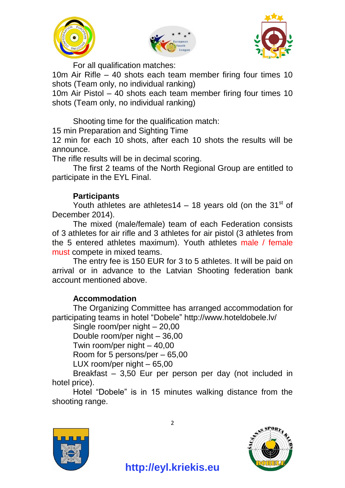





For all qualification matches:

10m Air Rifle – 40 shots each team member firing four times 10 shots (Team only, no individual ranking)

10m Air Pistol – 40 shots each team member firing four times 10 shots (Team only, no individual ranking)

Shooting time for the qualification match:

15 min Preparation and Sighting Time

12 min for each 10 shots, after each 10 shots the results will be announce.

The rifle results will be in decimal scoring.

The first 2 teams of the North Regional Group are entitled to participate in the EYL Final.

#### **Participants**

Youth athletes are athletes14 – 18 years old (on the  $31<sup>st</sup>$  of December 2014).

The mixed (male/female) team of each Federation consists of 3 athletes for air rifle and 3 athletes for air pistol (3 athletes from the 5 entered athletes maximum). Youth athletes male / female must compete in mixed teams.

The entry fee is 150 EUR for 3 to 5 athletes. It will be paid on arrival or in advance to the Latvian Shooting federation bank account mentioned above.

#### **Accommodation**

The Organizing Committee has arranged accommodation for participating teams in hotel "Dobele" http://www.hoteldobele.lv/

Single room/per night – 20,00

Double room/per night – 36,00

Twin room/per night – 40,00

Room for 5 persons/per – 65,00

LUX room/per night – 65,00

Breakfast – 3,50 Eur per person per day (not included in hotel price).

Hotel "Dobele" is in 15 minutes walking distance from the shooting range.



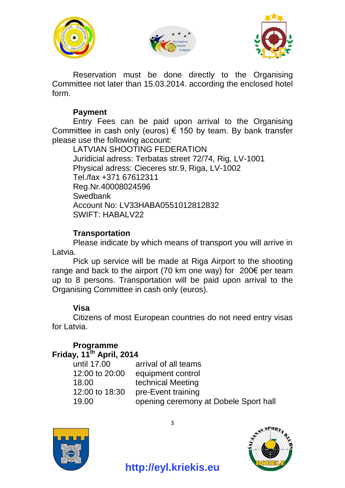





Reservation must be done directly to the Organising Committee not later than 15.03.2014. according the enclosed hotel form.

#### **Payment**

Entry Fees can be paid upon arrival to the Organising Committee in cash only (euros)  $\epsilon$  150 by team. By bank transfer please use the following account:

LATVIAN SHOOTING FEDERATION Juridicial adress: Terbatas street 72/74, Rig, LV-1001 Physical adress: Cieceres str.9, Riga, LV-1002 Tel./fax +371 67612311 Reg.Nr.40008024596 **Swedbank** Account No: LV33HABA0551012812832 SWIFT: HABALV22

## **Transportation**

Please indicate by which means of transport you will arrive in Latvia.

Pick up service will be made at Riga Airport to the shooting range and back to the airport (70 km one way) for 200€ per team up to 8 persons. Transportation will be paid upon arrival to the Organising Committee in cash only (euros).

## **Visa**

Citizens of most European countries do not need entry visas for Latvia.

#### **Programme Friday, 11th April, 2014**

| until 17.00    | arrival of all teams                  |
|----------------|---------------------------------------|
| 12:00 to 20:00 | equipment control                     |
| 18.00          | technical Meeting                     |
| 12:00 to 18:30 | pre-Event training                    |
| 19.00          | opening ceremony at Dobele Sport hall |
|                |                                       |





3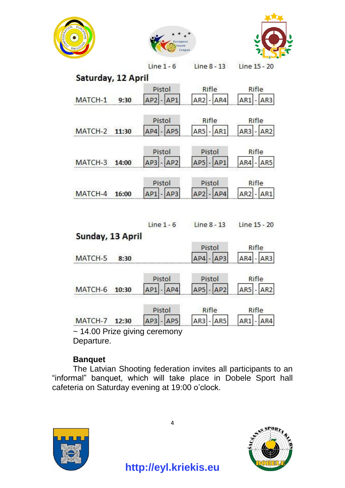





|                    |       | $Line 1 - 6$                       | $Line 8 - 13$           | Line 15 - 20   |
|--------------------|-------|------------------------------------|-------------------------|----------------|
| Saturday, 12 April |       |                                    |                         |                |
|                    |       | Pistol                             | Rifle                   | Rifle          |
| MATCH-1            | 9:30  | $AP2$ - $AP1$                      | $AR2 - AR4$             | $AR1 - AR3$    |
|                    |       | Pistol                             | Rifle                   | Rifle          |
| MATCH-2            | 11:30 | $AP4 - AP5$                        | <b>AR5</b> - <b>AR1</b> | $AR3 - AR2$    |
|                    |       | Pistol                             | Pistol                  | Rifle          |
| MATCH-3            | 14:00 | $AP3$ - $AP2$                      | $AP5$ - $AP1$           | $AR4 - AR5$    |
|                    |       | Pistol                             | Pistol                  | Rifle          |
| MATCH-4            | 16:00 | $AP1$ - $AP3$                      | $AP2$ - $AP4$           | AR1<br>$AR2$ - |
|                    |       |                                    |                         |                |
| Sunday, 13 April   |       | Line $1 - 6$                       | Line 8 - 13             | Line 15 - 20   |
|                    |       |                                    | Pistol                  | Rifle          |
| MATCH-5            | 8:30  |                                    | $AP4 - AP3$             | $AR4 - AR3$    |
|                    |       | Pistol                             | Pistol                  | Rifle          |
| MATCH-6 10:30      |       | $AP1$ - $AP4$                      | $AP5$ - $AP2$           | $AR5 - AR2$    |
|                    |       | Pistol                             | Rifle                   | Rifle          |
| MATCH-7            | 12:30 | $AP3$ - $AP5$                      | $AR3 - AR5$             | AR1<br>AR4     |
|                    |       | $\sim$ 14.00 Prize giving ceremony |                         |                |
| Departure.         |       |                                    |                         |                |

**Banquet**

The Latvian Shooting federation invites all participants to an "informal" banquet, which will take place in Dobele Sport hall cafeteria on Saturday evening at 19:00 o'clock.





4